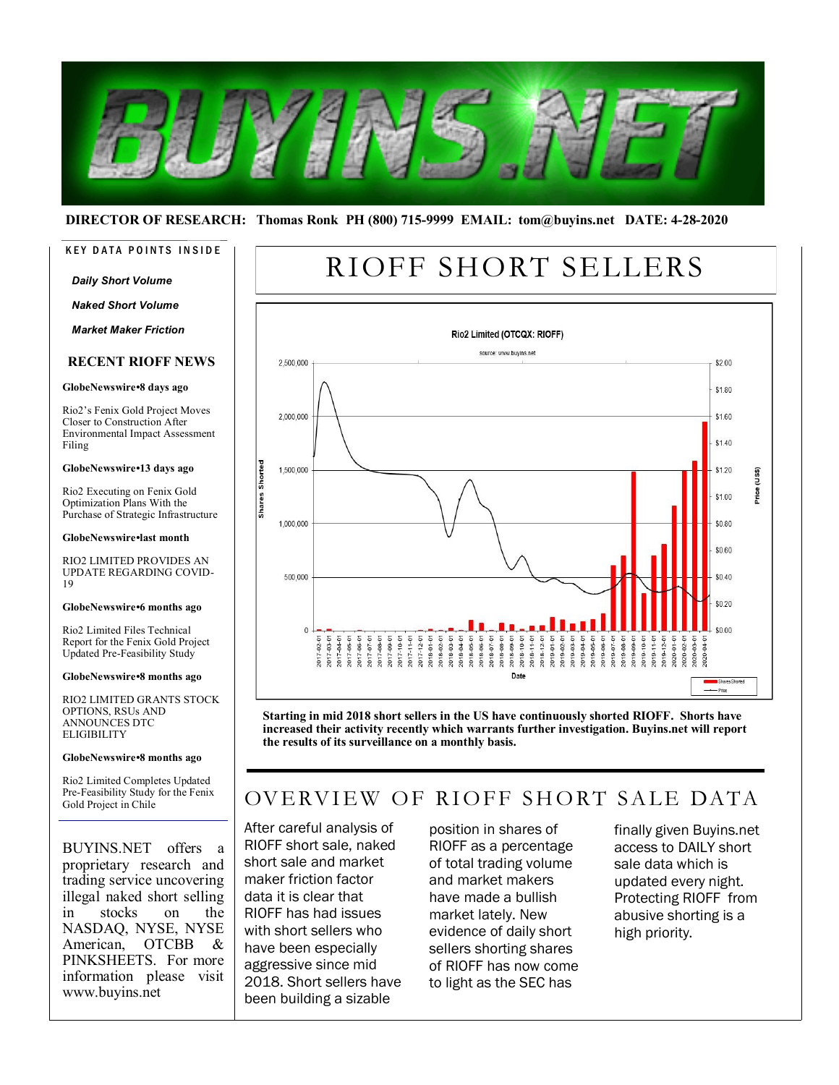

#### **DIRECTOR OF RESEARCH: Thomas Ronk PH (800) 715-9999 EMAIL: tom@buyins.net DATE: 4-28-2020**

#### KEY DATA POINTS INSIDE

#### *Daily Short Volume*

*Naked Short Volume*

*Market Maker Friction*

#### **RECENT RIOFF NEWS**

#### **GlobeNewswire•8 days ago**

Rio2's Fenix Gold Project Moves Closer to Construction After Environmental Impact Assessment Filing

#### **GlobeNewswire•13 days ago**

Rio2 Executing on Fenix Gold Optimization Plans With the Purchase of Strategic Infrastructure

#### **GlobeNewswire•last month**

RIO2 LIMITED PROVIDES AN UPDATE REGARDING COVID-19

#### **GlobeNewswire•6 months ago**

Rio2 Limited Files Technical Report for the Fenix Gold Project Updated Pre-Feasibility Study

**GlobeNewswire•8 months ago**

RIO2 LIMITED GRANTS STOCK OPTIONS, RSUs AND ANNOUNCES DTC **ELIGIBILITY** 

#### **GlobeNewswire•8 months ago**

Rio2 Limited Completes Updated Pre-Feasibility Study for the Fenix Gold Project in Chile

BUYINS.NET offers a proprietary research and trading service uncovering illegal naked short selling in stocks on the NASDAQ, NYSE, NYSE American, OTCBB & PINKSHEETS. For more information please visit www.buyins.net

# RIOFF SHORT SELLERS



**Starting in mid 2018 short sellers in the US have continuously shorted RIOFF. Shorts have increased their activity recently which warrants further investigation. Buyins.net will report the results of its surveillance on a monthly basis.**

# OVERVIEW OF RIOFF SHORT SALE DATA

After careful analysis of RIOFF short sale, naked short sale and market maker friction factor data it is clear that RIOFF has had issues with short sellers who have been especially aggressive since mid 2018. Short sellers have been building a sizable

position in shares of RIOFF as a percentage of total trading volume and market makers have made a bullish market lately. New evidence of daily short sellers shorting shares of RIOFF has now come to light as the SEC has

finally given Buyins.net access to DAILY short sale data which is updated every night. Protecting RIOFF from abusive shorting is a high priority.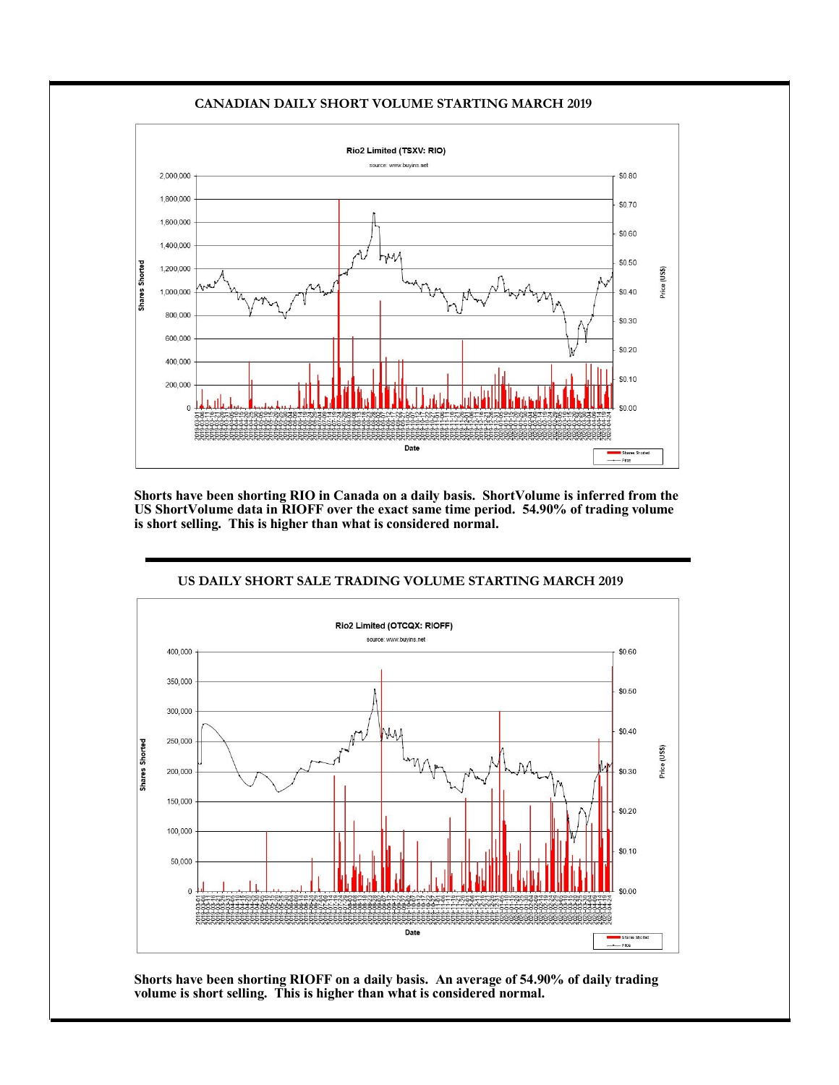#### **CANADIAN DAILY SHORT VOLUME STARTING MARCH 2019**



**Shorts have been shorting RIO in Canada on a daily basis. ShortVolume is inferred from the US ShortVolume data in RIOFF over the exact same time period. 54.90% of trading volume is short selling. This is higher than what is considered normal.**

#### **US DAILY SHORT SALE TRADING VOLUME STARTING MARCH 2019**



**Shorts have been shorting RIOFF on a daily basis. An average of 54.90% of daily trading volume is short selling. This is higher than what is considered normal.**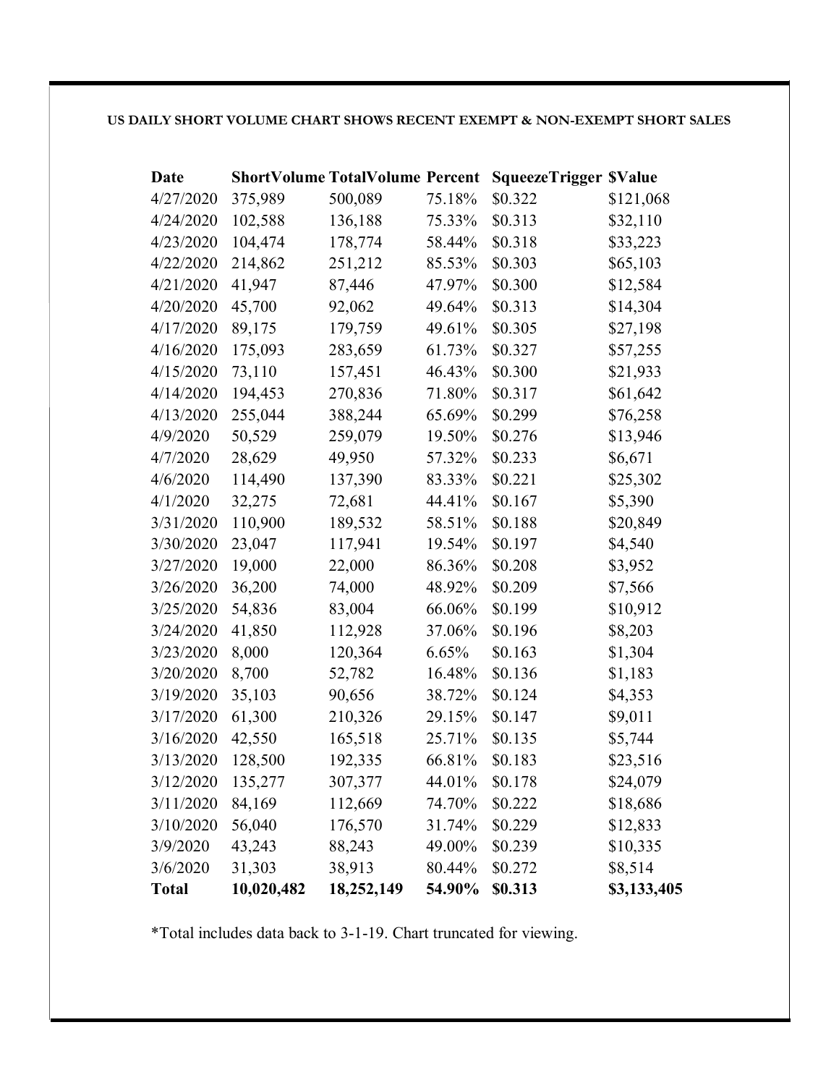### **US DAILY SHORT VOLUME CHART SHOWS RECENT EXEMPT & NON-EXEMPT SHORT SALES**

| Date         |            | <b>ShortVolume TotalVolume Percent</b> |        | <b>SqueezeTrigger \$Value</b> |             |
|--------------|------------|----------------------------------------|--------|-------------------------------|-------------|
| 4/27/2020    | 375,989    | 500,089                                | 75.18% | \$0.322                       | \$121,068   |
| 4/24/2020    | 102,588    | 136,188                                | 75.33% | \$0.313                       | \$32,110    |
| 4/23/2020    | 104,474    | 178,774                                | 58.44% | \$0.318                       | \$33,223    |
| 4/22/2020    | 214,862    | 251,212                                | 85.53% | \$0.303                       | \$65,103    |
| 4/21/2020    | 41,947     | 87,446                                 | 47.97% | \$0.300                       | \$12,584    |
| 4/20/2020    | 45,700     | 92,062                                 | 49.64% | \$0.313                       | \$14,304    |
| 4/17/2020    | 89,175     | 179,759                                | 49.61% | \$0.305                       | \$27,198    |
| 4/16/2020    | 175,093    | 283,659                                | 61.73% | \$0.327                       | \$57,255    |
| 4/15/2020    | 73,110     | 157,451                                | 46.43% | \$0.300                       | \$21,933    |
| 4/14/2020    | 194,453    | 270,836                                | 71.80% | \$0.317                       | \$61,642    |
| 4/13/2020    | 255,044    | 388,244                                | 65.69% | \$0.299                       | \$76,258    |
| 4/9/2020     | 50,529     | 259,079                                | 19.50% | \$0.276                       | \$13,946    |
| 4/7/2020     | 28,629     | 49,950                                 | 57.32% | \$0.233                       | \$6,671     |
| 4/6/2020     | 114,490    | 137,390                                | 83.33% | \$0.221                       | \$25,302    |
| 4/1/2020     | 32,275     | 72,681                                 | 44.41% | \$0.167                       | \$5,390     |
| 3/31/2020    | 110,900    | 189,532                                | 58.51% | \$0.188                       | \$20,849    |
| 3/30/2020    | 23,047     | 117,941                                | 19.54% | \$0.197                       | \$4,540     |
| 3/27/2020    | 19,000     | 22,000                                 | 86.36% | \$0.208                       | \$3,952     |
| 3/26/2020    | 36,200     | 74,000                                 | 48.92% | \$0.209                       | \$7,566     |
| 3/25/2020    | 54,836     | 83,004                                 | 66.06% | \$0.199                       | \$10,912    |
| 3/24/2020    | 41,850     | 112,928                                | 37.06% | \$0.196                       | \$8,203     |
| 3/23/2020    | 8,000      | 120,364                                | 6.65%  | \$0.163                       | \$1,304     |
| 3/20/2020    | 8,700      | 52,782                                 | 16.48% | \$0.136                       | \$1,183     |
| 3/19/2020    | 35,103     | 90,656                                 | 38.72% | \$0.124                       | \$4,353     |
| 3/17/2020    | 61,300     | 210,326                                | 29.15% | \$0.147                       | \$9,011     |
| 3/16/2020    | 42,550     | 165,518                                | 25.71% | \$0.135                       | \$5,744     |
| 3/13/2020    | 128,500    | 192,335                                | 66.81% | \$0.183                       | \$23,516    |
| 3/12/2020    | 135,277    | 307,377                                | 44.01% | \$0.178                       | \$24,079    |
| 3/11/2020    | 84,169     | 112,669                                | 74.70% | \$0.222                       | \$18,686    |
| 3/10/2020    | 56,040     | 176,570                                | 31.74% | \$0.229                       | \$12,833    |
| 3/9/2020     | 43,243     | 88,243                                 | 49.00% | \$0.239                       | \$10,335    |
| 3/6/2020     | 31,303     | 38,913                                 | 80.44% | \$0.272                       | \$8,514     |
| <b>Total</b> | 10,020,482 | 18,252,149                             | 54.90% | \$0.313                       | \$3,133,405 |

\*Total includes data back to 3-1-19. Chart truncated for viewing.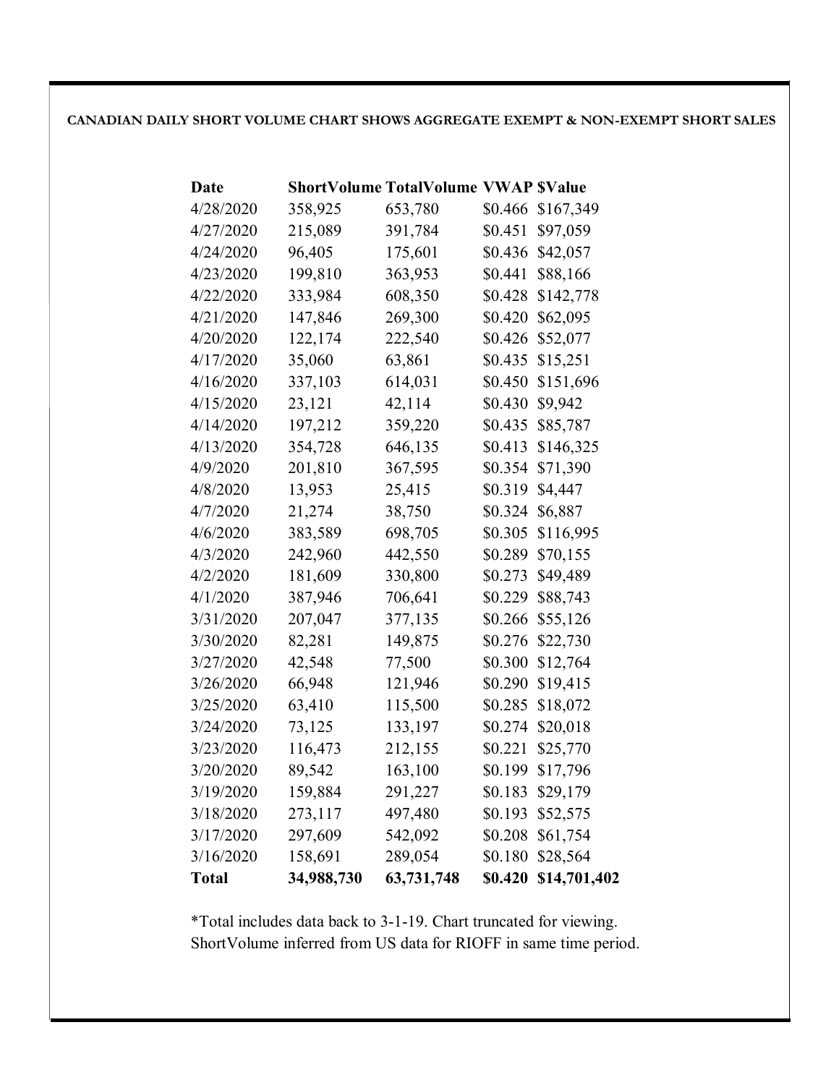### **CANADIAN DAILY SHORT VOLUME CHART SHOWS AGGREGATE EXEMPT & NON-EXEMPT SHORT SALES**

| Date      |            | <b>ShortVolume TotalVolume VWAP \$Value</b> |         |              |
|-----------|------------|---------------------------------------------|---------|--------------|
| 4/28/2020 | 358,925    | 653,780                                     | \$0.466 | \$167,349    |
| 4/27/2020 | 215,089    | 391,784                                     | \$0.451 | \$97,059     |
| 4/24/2020 | 96,405     | 175,601                                     | \$0.436 | \$42,057     |
| 4/23/2020 | 199,810    | 363,953                                     | \$0.441 | \$88,166     |
| 4/22/2020 | 333,984    | 608,350                                     | \$0.428 | \$142,778    |
| 4/21/2020 | 147,846    | 269,300                                     | \$0.420 | \$62,095     |
| 4/20/2020 | 122,174    | 222,540                                     | \$0.426 | \$52,077     |
| 4/17/2020 | 35,060     | 63,861                                      | \$0.435 | \$15,251     |
| 4/16/2020 | 337,103    | 614,031                                     | \$0.450 | \$151,696    |
| 4/15/2020 | 23,121     | 42,114                                      | \$0.430 | \$9,942      |
| 4/14/2020 | 197,212    | 359,220                                     | \$0.435 | \$85,787     |
| 4/13/2020 | 354,728    | 646,135                                     | \$0.413 | \$146,325    |
| 4/9/2020  | 201,810    | 367,595                                     | \$0.354 | \$71,390     |
| 4/8/2020  | 13,953     | 25,415                                      | \$0.319 | \$4,447      |
| 4/7/2020  | 21,274     | 38,750                                      | \$0.324 | \$6,887      |
| 4/6/2020  | 383,589    | 698,705                                     | \$0.305 | \$116,995    |
| 4/3/2020  | 242,960    | 442,550                                     | \$0.289 | \$70,155     |
| 4/2/2020  | 181,609    | 330,800                                     | \$0.273 | \$49,489     |
| 4/1/2020  | 387,946    | 706,641                                     | \$0.229 | \$88,743     |
| 3/31/2020 | 207,047    | 377,135                                     | \$0.266 | \$55,126     |
| 3/30/2020 | 82,281     | 149,875                                     | \$0.276 | \$22,730     |
| 3/27/2020 | 42,548     | 77,500                                      | \$0.300 | \$12,764     |
| 3/26/2020 | 66,948     | 121,946                                     | \$0.290 | \$19,415     |
| 3/25/2020 | 63,410     | 115,500                                     | \$0.285 | \$18,072     |
| 3/24/2020 | 73,125     | 133,197                                     | \$0.274 | \$20,018     |
| 3/23/2020 | 116,473    | 212,155                                     | \$0.221 | \$25,770     |
| 3/20/2020 | 89,542     | 163,100                                     | \$0.199 | \$17,796     |
| 3/19/2020 | 159,884    | 291,227                                     | \$0.183 | \$29,179     |
| 3/18/2020 | 273,117    | 497,480                                     | \$0.193 | \$52,575     |
| 3/17/2020 | 297,609    | 542,092                                     | \$0.208 | \$61,754     |
| 3/16/2020 | 158,691    | 289,054                                     | \$0.180 | \$28,564     |
| Total     | 34,988,730 | 63,731,748                                  | \$0.420 | \$14,701,402 |

\*Total includes data back to 3-1-19. Chart truncated for viewing. ShortVolume inferred from US data for RIOFF in same time period.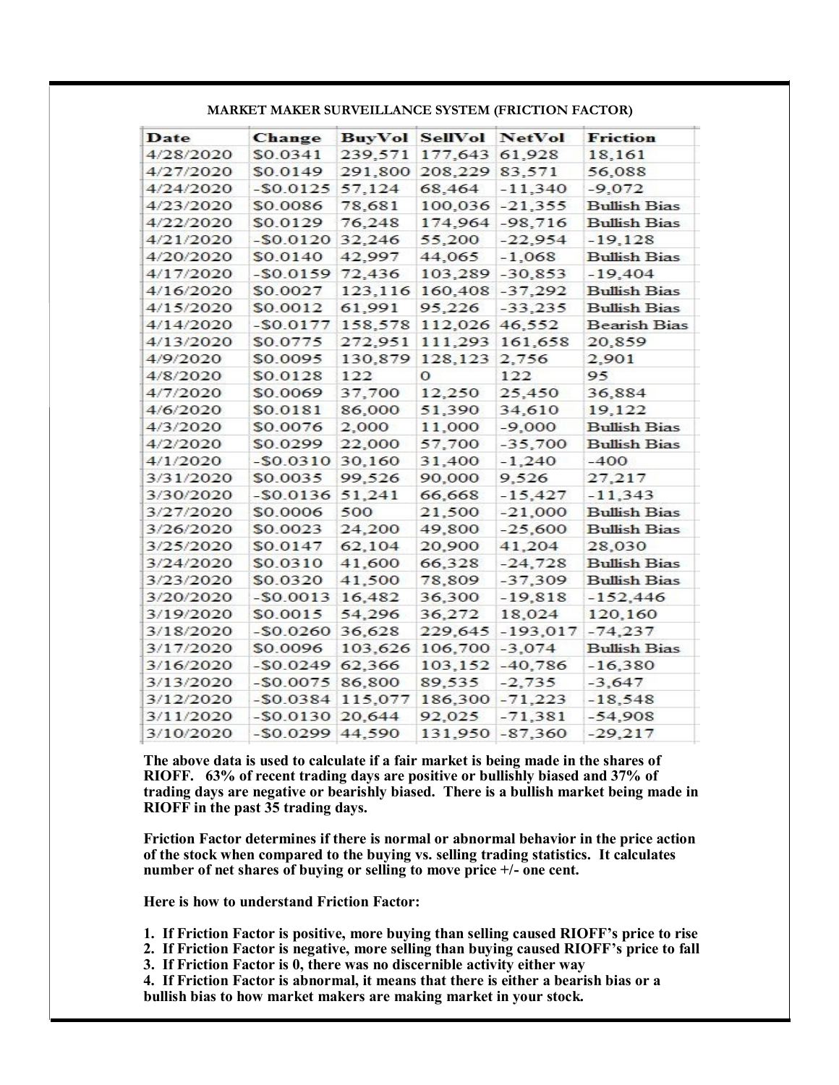| Date      | Change       | <b>BuyVol</b> | <b>SellVol</b> | <b>NetVol</b> | Friction            |
|-----------|--------------|---------------|----------------|---------------|---------------------|
| 4/28/2020 | \$0.0341     | 239,571       | 177,643        | 61,928        | 18,161              |
| 4/27/2020 | \$0.0149     | 291,800       | 208,229        | 83,571        | 56,088              |
| 4/24/2020 | $-50.0125$   | 57,124        | 68.464         | $-11,340$     | $-9,072$            |
| 4/23/2020 | \$0.0086     | 78.681        | 100,036        | $-21.355$     | <b>Bullish Bias</b> |
| 4/22/2020 | \$0.0129     | 76.248        | 174.964        | $-98.716$     | <b>Bullish Bias</b> |
| 4/21/2020 | $-50.0120$   | 32,246        | 55,200         | $-22,954$     | $-19.128$           |
| 4/20/2020 | \$0.0140     | 42.997        | 44,065         | $-1.068$      | <b>Bullish Bias</b> |
| 4/17/2020 | $-50.0159$   | 72,436        | 103,289        | $-30.853$     | $-19.404$           |
| 4/16/2020 | \$0.0027     | 123,116       | 160,408        | $-37,292$     | <b>Bullish Bias</b> |
| 4/15/2020 | \$0.0012     | 61,991        | 95,226         | $-33.235$     | <b>Bullish Bias</b> |
| 4/14/2020 | $-50.0177$   | 158,578       | 112,026        | 46,552        | <b>Bearish Bias</b> |
| 4/13/2020 | \$0.0775     | 272,951       | 111,293        | 161,658       | 20,859              |
| 4/9/2020  | \$0.0095     | 130,879       | 128, 123       | 2,756         | 2,901               |
| 4/8/2020  | \$0.0128     | 122           | О              | 122           | 95.                 |
| 4/7/2020  | \$0.0069     | 37,700        | 12.250         | 25,450        | 36,884              |
| 4/6/2020  | \$0.0181     | 86,000        | 51,390         | 34,610        | 19,122              |
| 4/3/2020  | \$0.0076     | 2,000         | 11,000         | $-9,000$      | <b>Bullish Bias</b> |
| 4/2/2020  | \$0.0299     | 22,000        | 57.700         | $-35,700$     | <b>Bullish Bias</b> |
| 4/1/2020  | $-50.0310$   | 30,160        | 31,400         | $-1,240$      | -400                |
| 3/31/2020 | \$0.0035     | 99,526        | 90,000         | 9,526         | 27,217              |
| 3/30/2020 | $-50.0136$   | 51,241        | 66,668         | $-15,427$     | $-11.343$           |
| 3/27/2020 | \$0.0006     | 500           | 21,500         | $-21,000$     | <b>Bullish Bias</b> |
| 3/26/2020 | \$0.0023     | 24,200        | 49,800         | $-25,600$     | <b>Bullish Bias</b> |
| 3/25/2020 | \$0.0147     | 62,104        | 20,900         | 41,204        | 28,030              |
| 3/24/2020 | \$0.0310     | 41,600        | 66.328         | $-24.728$     | <b>Bullish Bias</b> |
| 3/23/2020 | \$0.0320     | 41,500        | 78,809         | $-37.309$     | Bullish Bias        |
| 3/20/2020 | $-$ SO.0013  | 16,482        | 36,300         | $-19.818$     | $-152,446$          |
| 3/19/2020 | \$0.0015     | 54,296        | 36,272         | 18,024        | 120,160             |
| 3/18/2020 | $-50.0260$   | 36,628        | 229,645        | $-193.017$    | $-74,237$           |
| 3/17/2020 | \$0.0096     | 103.626       | 106,700        | $-3.074$      | <b>Bullish Bias</b> |
| 3/16/2020 | $-50.0249$   | 62,366        | 103,152        | $-40.786$     | $-16.380$           |
| 3/13/2020 | $-50.0075$   | 86,800        | 89,535         | $-2,735$      | $-3,647$            |
| 3/12/2020 | $-50.0384$   | 115.077       | 186,300        | $-71,223$     | $-18,548$           |
| 3/11/2020 | $-50.0130$   | 20.644        | 92,025         | $-71.381$     | $-54.908$           |
| 3/10/2020 | $-$ \$0.0299 | 44,590        | 131.950        | $-87.360$     | $-29.217$           |

**MARKET MAKER SURVEILLANCE SYSTEM (FRICTION FACTOR)**

**The above data is used to calculate if a fair market is being made in the shares of RIOFF. 63% of recent trading days are positive or bullishly biased and 37% of trading days are negative or bearishly biased. There is a bullish market being made in RIOFF in the past 35 trading days.**

**Friction Factor determines if there is normal or abnormal behavior in the price action of the stock when compared to the buying vs. selling trading statistics. It calculates number of net shares of buying or selling to move price +/- one cent.**

**Here is how to understand Friction Factor:**

**1. If Friction Factor is positive, more buying than selling caused RIOFF's price to rise** 

**2. If Friction Factor is negative, more selling than buying caused RIOFF's price to fall**

**3. If Friction Factor is 0, there was no discernible activity either way**

**4. If Friction Factor is abnormal, it means that there is either a bearish bias or a bullish bias to how market makers are making market in your stock.**